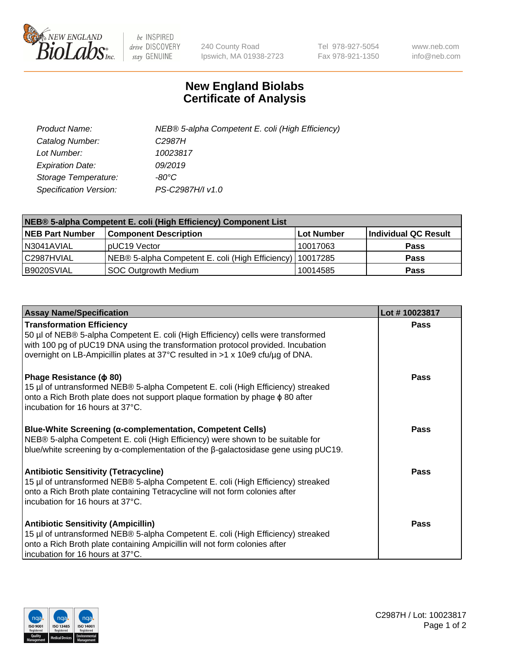

 $be$  INSPIRED drive DISCOVERY stay GENUINE

240 County Road Ipswich, MA 01938-2723 Tel 978-927-5054 Fax 978-921-1350 www.neb.com info@neb.com

## **New England Biolabs Certificate of Analysis**

| Product Name:           | NEB® 5-alpha Competent E. coli (High Efficiency) |
|-------------------------|--------------------------------------------------|
| Catalog Number:         | C <sub>2987</sub> H                              |
| Lot Number:             | 10023817                                         |
| <b>Expiration Date:</b> | 09/2019                                          |
| Storage Temperature:    | -80°C                                            |
| Specification Version:  | PS-C2987H/I v1.0                                 |

| NEB® 5-alpha Competent E. coli (High Efficiency) Component List |                                                  |            |                      |  |  |
|-----------------------------------------------------------------|--------------------------------------------------|------------|----------------------|--|--|
| <b>NEB Part Number</b>                                          | <b>Component Description</b>                     | Lot Number | Individual QC Result |  |  |
| N3041AVIAL                                                      | pUC19 Vector                                     | 10017063   | <b>Pass</b>          |  |  |
| C2987HVIAL                                                      | NEB® 5-alpha Competent E. coli (High Efficiency) | 10017285   | <b>Pass</b>          |  |  |
| B9020SVIAL                                                      | <b>SOC Outgrowth Medium</b>                      | 10014585   | <b>Pass</b>          |  |  |

| <b>Assay Name/Specification</b>                                                                                                                                                                                                                                                           | Lot #10023817 |
|-------------------------------------------------------------------------------------------------------------------------------------------------------------------------------------------------------------------------------------------------------------------------------------------|---------------|
| <b>Transformation Efficiency</b><br>50 µl of NEB® 5-alpha Competent E. coli (High Efficiency) cells were transformed<br>with 100 pg of pUC19 DNA using the transformation protocol provided. Incubation<br>overnight on LB-Ampicillin plates at 37°C resulted in >1 x 10e9 cfu/µg of DNA. | <b>Pass</b>   |
| Phage Resistance ( $\phi$ 80)<br>15 µl of untransformed NEB® 5-alpha Competent E. coli (High Efficiency) streaked<br>onto a Rich Broth plate does not support plaque formation by phage $\phi$ 80 after<br>incubation for 16 hours at 37°C.                                               | Pass          |
| <b>Blue-White Screening (α-complementation, Competent Cells)</b><br>NEB® 5-alpha Competent E. coli (High Efficiency) were shown to be suitable for<br>blue/white screening by $\alpha$ -complementation of the $\beta$ -galactosidase gene using pUC19.                                   | Pass          |
| <b>Antibiotic Sensitivity (Tetracycline)</b><br>15 µl of untransformed NEB® 5-alpha Competent E. coli (High Efficiency) streaked<br>onto a Rich Broth plate containing Tetracycline will not form colonies after<br>incubation for 16 hours at 37°C.                                      | <b>Pass</b>   |
| <b>Antibiotic Sensitivity (Ampicillin)</b><br>15 µl of untransformed NEB® 5-alpha Competent E. coli (High Efficiency) streaked<br>onto a Rich Broth plate containing Ampicillin will not form colonies after<br>incubation for 16 hours at 37°C.                                          | Pass          |